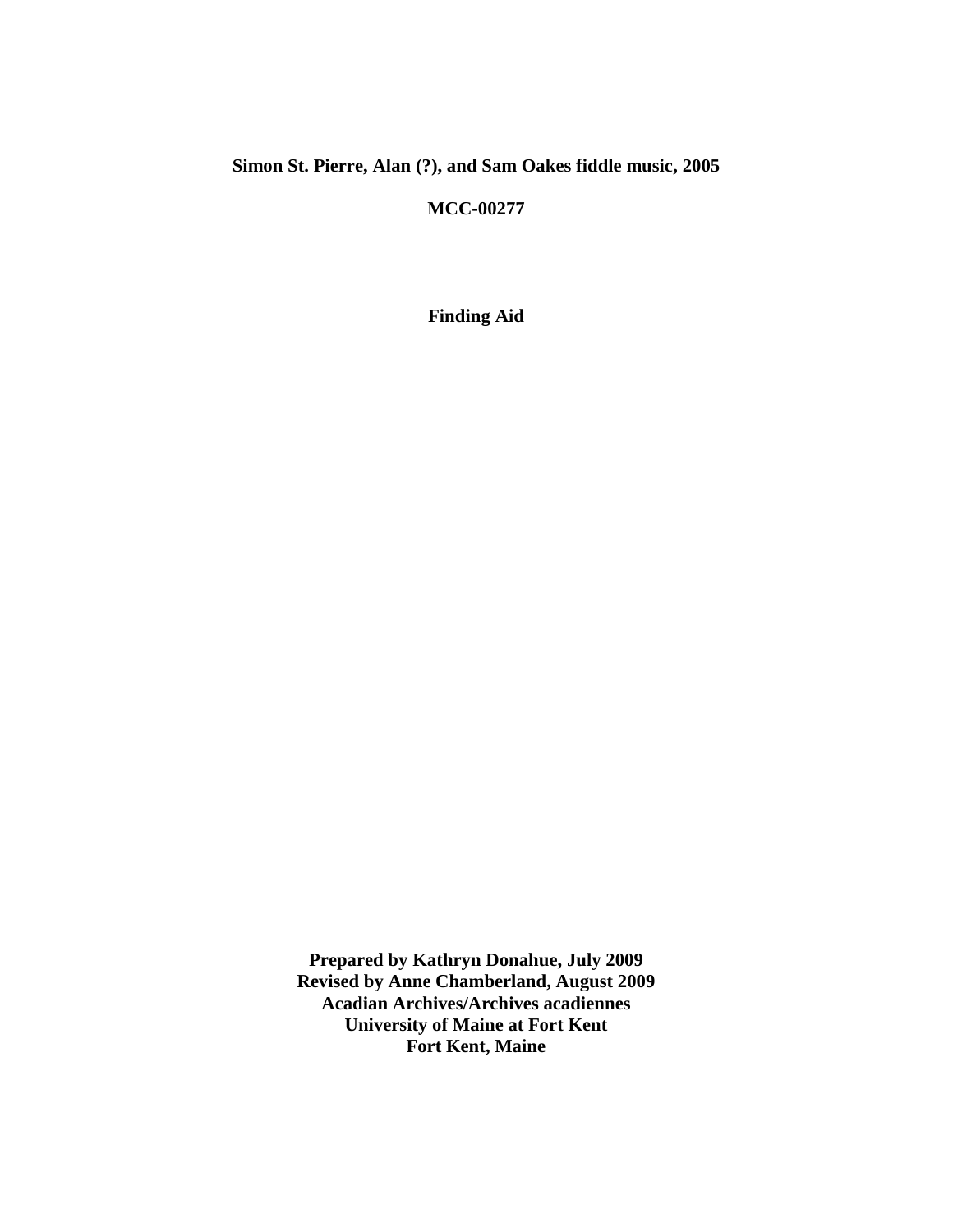## **Simon St. Pierre, Alan (?), and Sam Oakes fiddle music, 2005**

**MCC-00277**

**Finding Aid**

**Prepared by Kathryn Donahue, July 2009 Revised by Anne Chamberland, August 2009 Acadian Archives/Archives acadiennes University of Maine at Fort Kent Fort Kent, Maine**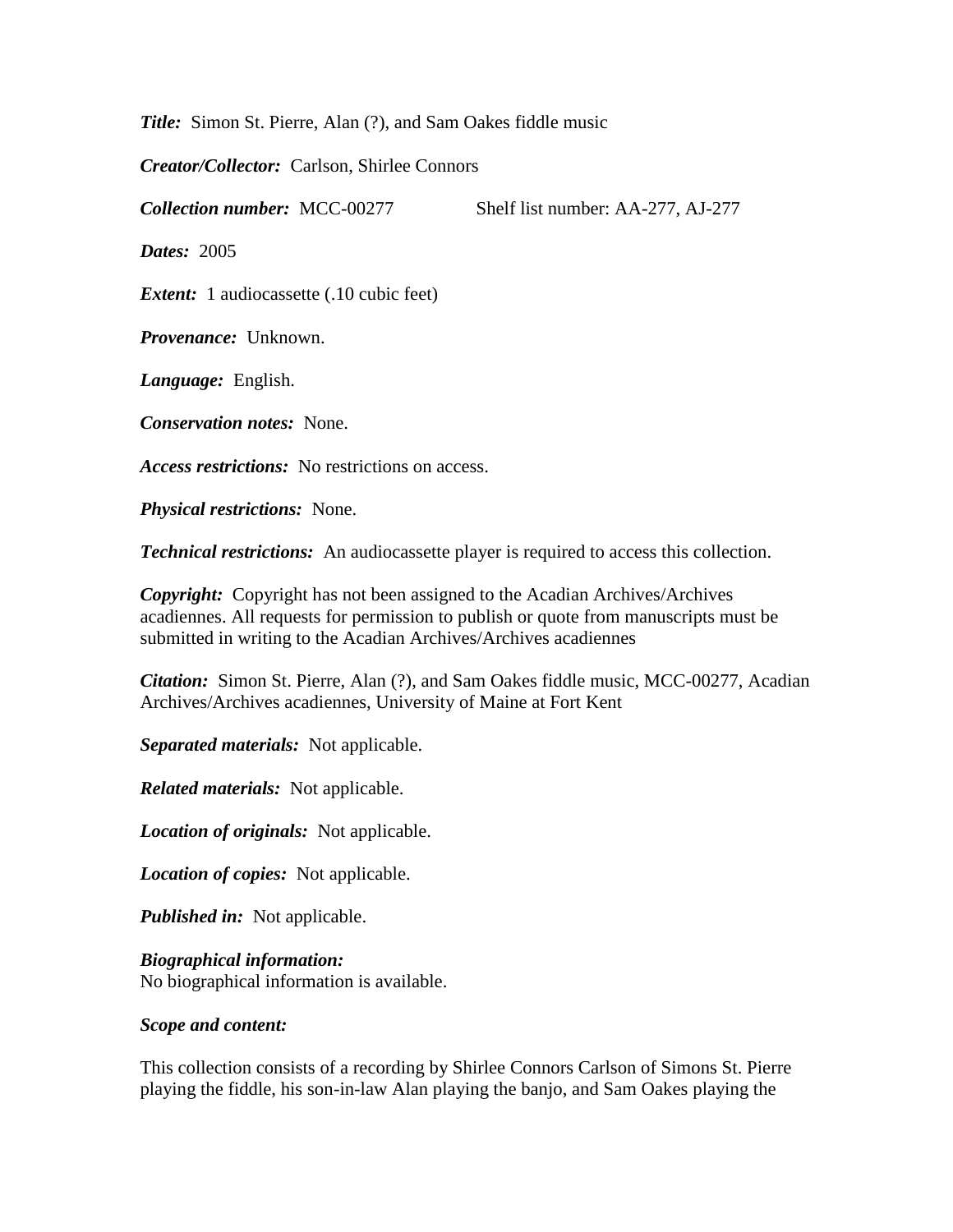*Title:* Simon St. Pierre, Alan (?), and Sam Oakes fiddle music

*Creator/Collector:* Carlson, Shirlee Connors

*Collection number:* MCC-00277 Shelf list number: AA-277, AJ-277

*Dates:* 2005

*Extent:* 1 audiocassette (.10 cubic feet)

*Provenance:* Unknown.

*Language:* English.

*Conservation notes:* None.

*Access restrictions:* No restrictions on access.

*Physical restrictions:* None.

*Technical restrictions:* An audiocassette player is required to access this collection.

*Copyright:* Copyright has not been assigned to the Acadian Archives/Archives acadiennes. All requests for permission to publish or quote from manuscripts must be submitted in writing to the Acadian Archives/Archives acadiennes

*Citation:* Simon St. Pierre, Alan (?), and Sam Oakes fiddle music, MCC-00277, Acadian Archives/Archives acadiennes, University of Maine at Fort Kent

*Separated materials:* Not applicable.

*Related materials:* Not applicable.

*Location of originals:* Not applicable.

*Location of copies:* Not applicable.

*Published in:* Not applicable.

*Biographical information:*

No biographical information is available.

## *Scope and content:*

This collection consists of a recording by Shirlee Connors Carlson of Simons St. Pierre playing the fiddle, his son-in-law Alan playing the banjo, and Sam Oakes playing the